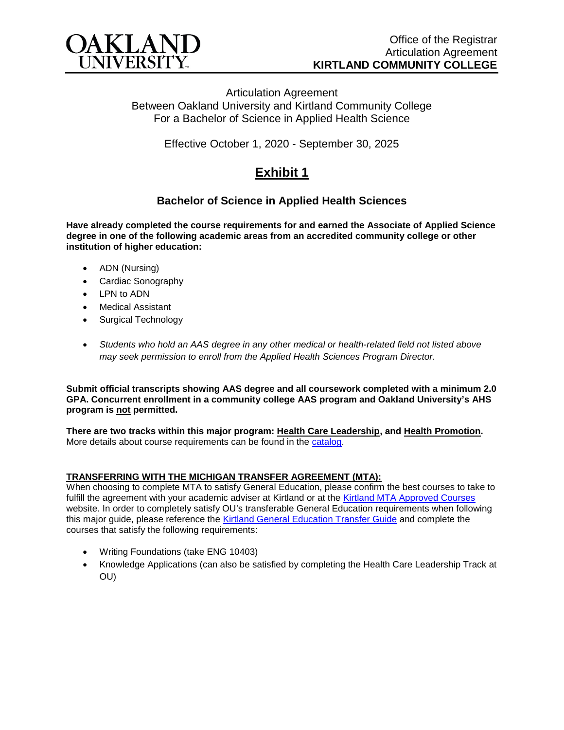

Articulation Agreement Between Oakland University and Kirtland Community College For a Bachelor of Science in Applied Health Science

Effective October 1, 2020 - September 30, 2025

# **Exhibit 1**

## **Bachelor of Science in Applied Health Sciences**

**Have already completed the course requirements for and earned the Associate of Applied Science degree in one of the following academic areas from an accredited community college or other institution of higher education:**

- ADN (Nursing)
- Cardiac Sonography
- LPN to ADN
- **Medical Assistant**
- Surgical Technology
- *Students who hold an AAS degree in any other medical or health-related field not listed above may seek permission to enroll from the Applied Health Sciences Program Director.*

**Submit official transcripts showing AAS degree and all coursework completed with a minimum 2.0 GPA. Concurrent enrollment in a community college AAS program and Oakland University's AHS program is not permitted.**

**There are two tracks within this major program: Health Care Leadership, and Health Promotion.**  More details about course requirements can be found in the [catalog.](http://catalog.oakland.edu/preview_program.php?catoid=44&poid=6779)

#### **TRANSFERRING WITH THE MICHIGAN TRANSFER AGREEMENT (MTA):**

When choosing to complete MTA to satisfy General Education, please confirm the best courses to take to fulfill the agreement with your academic adviser at Kirtland or at the [Kirtland MTA Approved Courses](https://www.kirtland.edu/registrar/michigan-transfer-agreement) website. In order to completely satisfy OU's transferable General Education requirements when following this major guide, please reference the [Kirtland General Education Transfer Guide](https://www.oakland.edu/Assets/Oakland/program-guides/kirtland-community-college/university-general-education-requirements/Kirtland%20Gen%20Ed.pdf) and complete the courses that satisfy the following requirements:

- Writing Foundations (take ENG 10403)
- Knowledge Applications (can also be satisfied by completing the Health Care Leadership Track at OU)